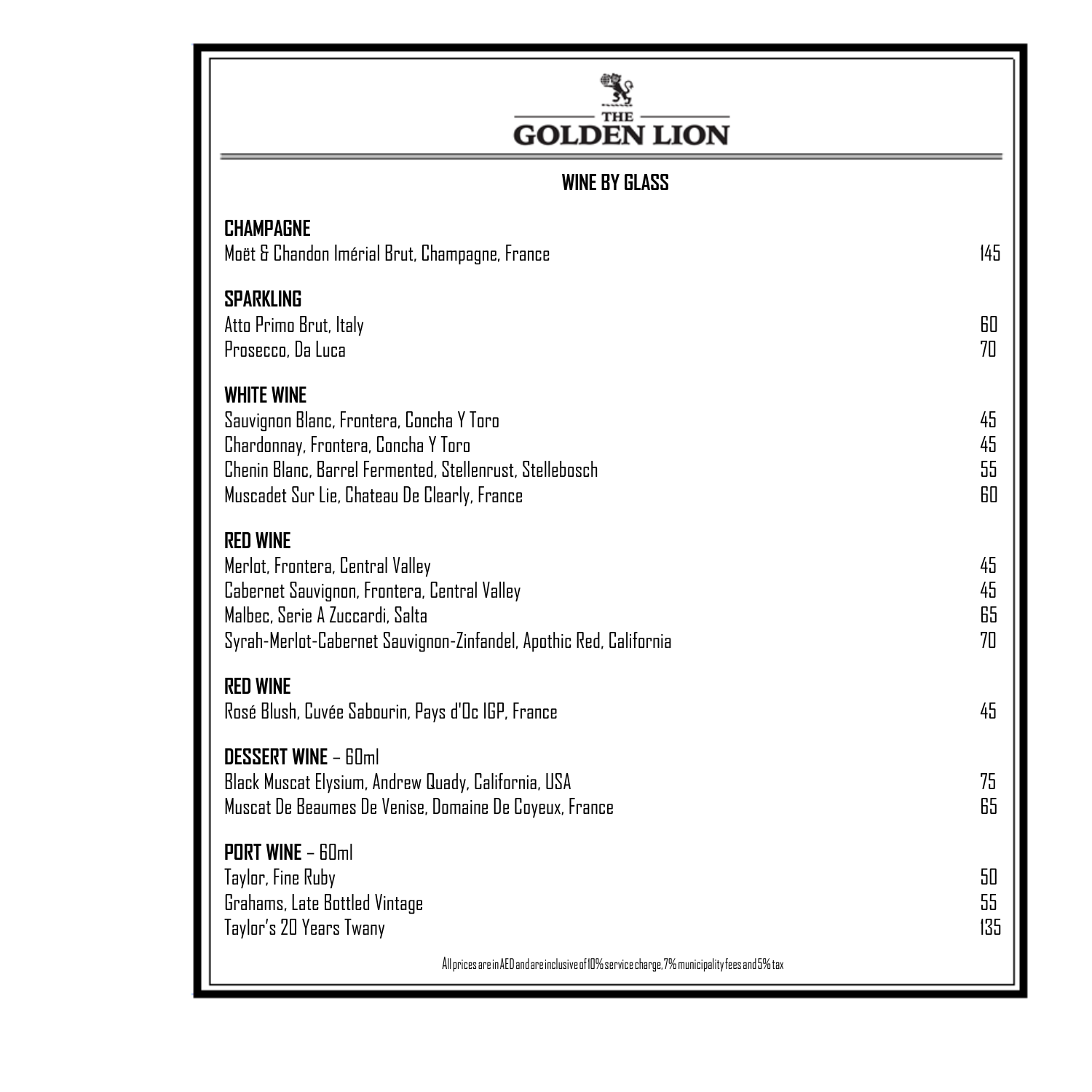## $\frac{\sum\limits_{\text{THE}}^{\text{THE}}}{\text{GOLDEN LION}}$

### **WINE BY GLASS**

| <b>CHAMPAGNE</b><br>Moët & Chandon Imérial Brut, Champagne, France                                                                                                                                               | 145                  |
|------------------------------------------------------------------------------------------------------------------------------------------------------------------------------------------------------------------|----------------------|
| <b>SPARKLING</b><br>Atto Primo Brut, Italy<br>Prosecco, Da Luca                                                                                                                                                  | 60<br>70             |
| <b>WHITE WINE</b><br>Sauvignon Blanc, Frontera, Concha Y Toro<br>Chardonnay, Frontera, Concha Y Toro<br>Chenin Blanc, Barrel Fermented, Stellenrust, Stellebosch<br>Muscadet Sur Lie, Chateau De Clearly, France | 45<br>45<br>55<br>60 |
| <b>RED WINE</b><br>Merlot, Frontera, Central Valley<br>Cabernet Sauvignon, Frontera, Central Valley<br>Malbec, Serie A Zuccardi, Salta<br>Syrah-Merlot-Cabernet Sauvignon-Zinfandel, Apothic Red, California     | 45<br>45<br>65<br>70 |
| <b>RED WINE</b><br>Rosé Blush, Cuvée Sabourin, Pays d'Oc IGP, France                                                                                                                                             | 45                   |
| <b>DESSERT WINE - 60ml</b><br>Black Muscat Elysium, Andrew Quady, California, USA<br>Muscat De Beaumes De Venise, Domaine De Coyeux, France                                                                      | 75<br>65             |
| <b>PORT WINE - 60ml</b><br>Taylor, Fine Ruby<br>Grahams, Late Bottled Vintage<br>Taylor's 20 Years Twany                                                                                                         | 50<br>55<br>135      |
| All prices are in AED and are inclusive of 10% service charge, 7% municipality fees and 5% tax                                                                                                                   |                      |

 $A$ llpricesareinclusiveof $\mathcal{A}$  aedandareinclusiveof $\mathcal{A}$  municipalityfeesand $\mathcal{A}$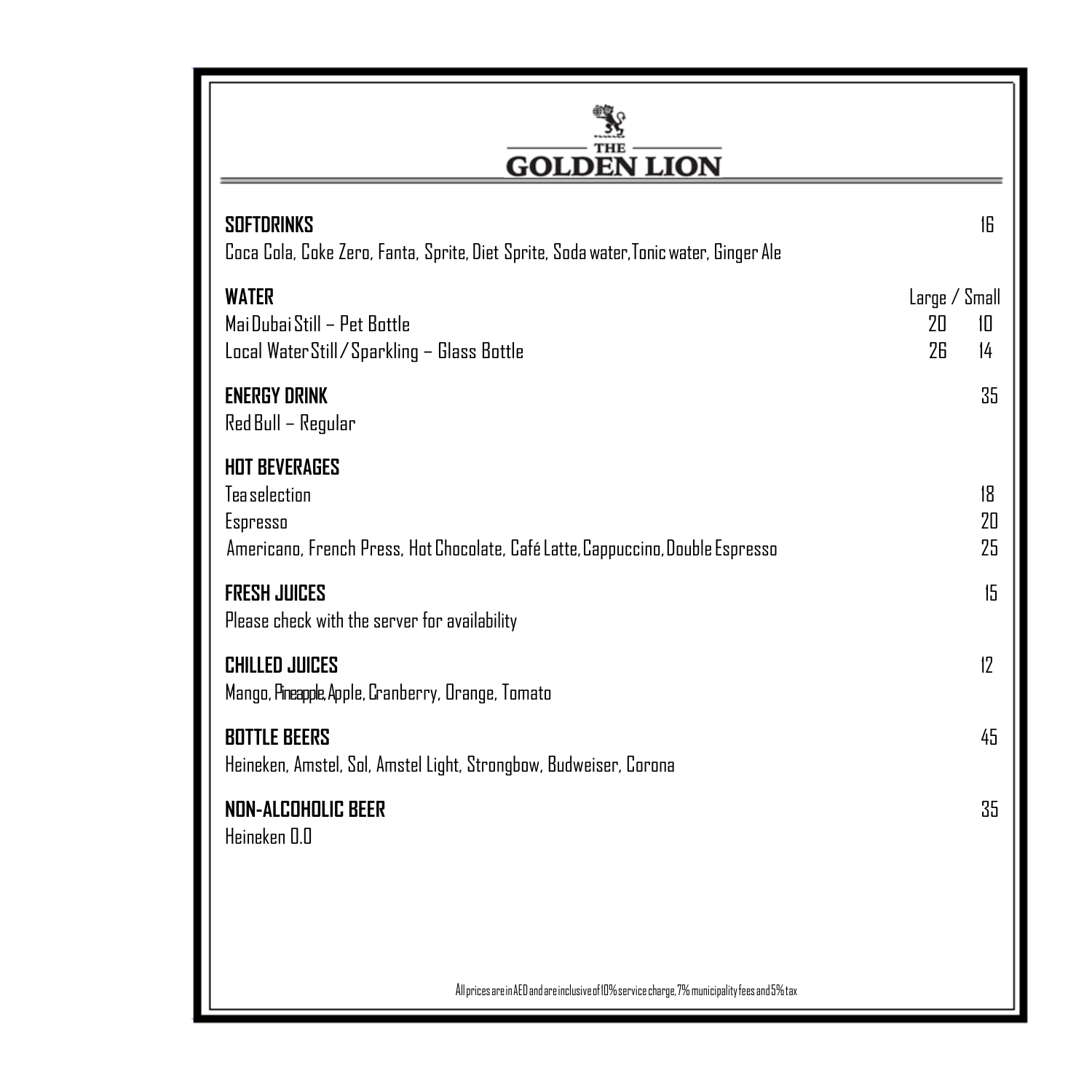## $\frac{\frac{1}{2} \sum_{\text{THE}}}{\text{GOLDEN LION}}$

| <b>SOFTDRINKS</b><br>Coca Cola, Coke Zero, Fanta, Sprite, Diet Sprite, Soda water, Tonic water, Ginger Ale                           |                           | 16             |
|--------------------------------------------------------------------------------------------------------------------------------------|---------------------------|----------------|
| <b>WATER</b><br>Mai Dubai Still - Pet Bottle<br>Local Water Still / Sparkling - Glass Bottle                                         | Large / Small<br>20<br>26 | 10<br>14       |
| <b>ENERGY DRINK</b><br>Red Bull – Regular                                                                                            |                           | 35             |
| <b>HOT BEVERAGES</b><br>Tea selection<br>Espresso<br>Americano, French Press, Hot Chocolate, Café Latte, Cappuccino, Double Espresso |                           | 18<br>20<br>25 |
| <b>FRESH JUICES</b><br>Please check with the server for availability                                                                 |                           | 15             |
| <b>CHILLED JUICES</b><br>Mango, Pineapple, Apple, Cranberry, Orange, Tomato                                                          |                           | 12             |
| <b>BOTTLE BEERS</b><br>Heineken, Amstel, Sol, Amstel Light, Strongbow, Budweiser, Corona                                             |                           | 45             |
| <b>NON-ALCOHOLIC BEER</b><br>Heineken 0.0                                                                                            |                           | 35             |
|                                                                                                                                      |                           |                |
|                                                                                                                                      |                           |                |

 $\,$  All prices are in AED and are inclusive of 10% service charge, 7% municipality fees and 5% tax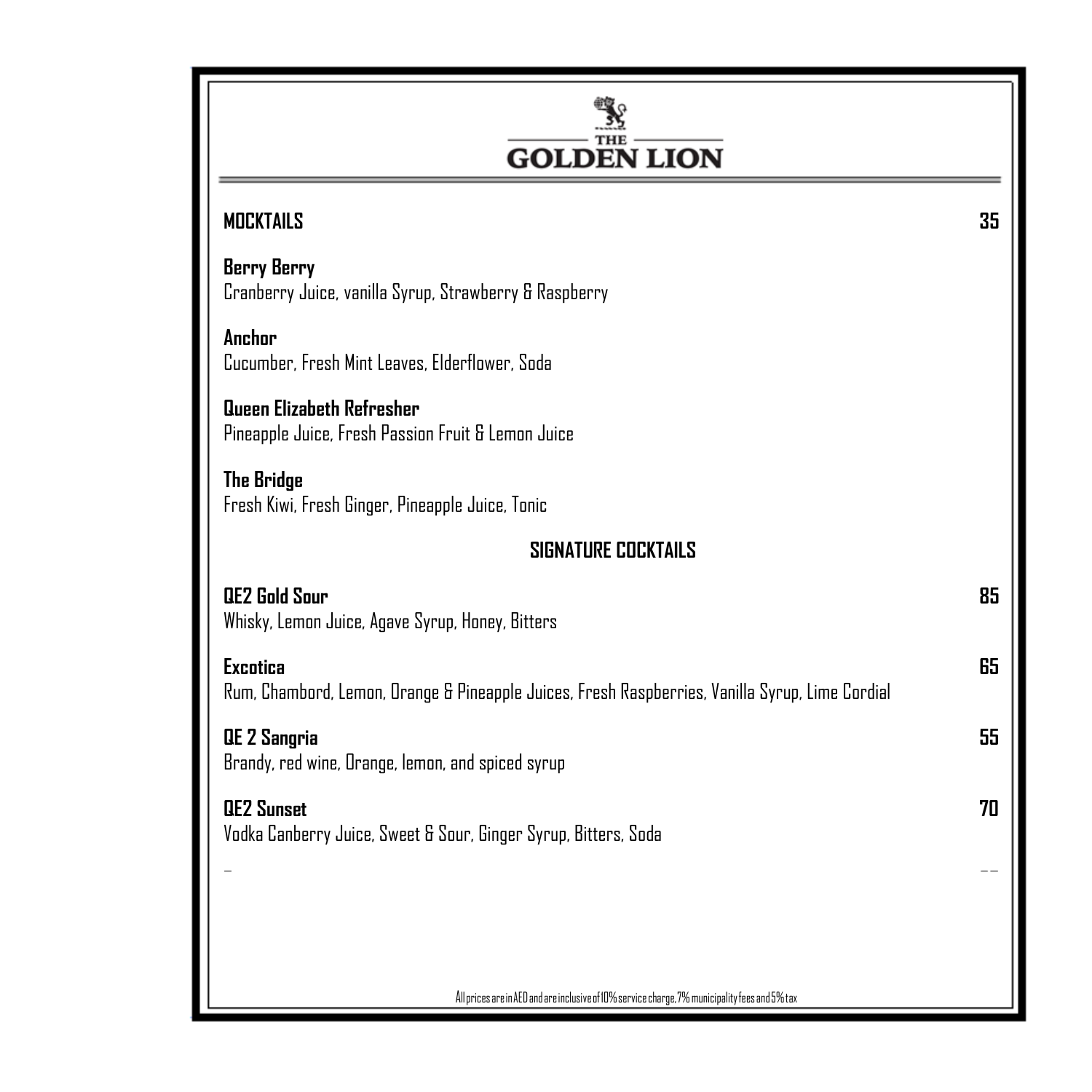| <b>GOLDEN LION</b>                                                                                                 |    |
|--------------------------------------------------------------------------------------------------------------------|----|
| <b>MOCKTAILS</b>                                                                                                   | 35 |
| <b>Berry Berry</b><br>Cranberry Juice, vanilla Syrup, Strawberry & Raspberry                                       |    |
| Anchor<br>Cucumber, Fresh Mint Leaves, Elderflower, Soda                                                           |    |
| Queen Elizabeth Refresher<br>Pineapple Juice, Fresh Passion Fruit & Lemon Juice                                    |    |
| <b>The Bridge</b><br>Fresh Kiwi, Fresh Ginger, Pineapple Juice, Tonic                                              |    |
| <b>SIGNATURE COCKTAILS</b>                                                                                         |    |
| <b>QE2 Gold Sour</b><br>Whisky, Lemon Juice, Agave Syrup, Honey, Bitters                                           | 85 |
| <b>Excotica</b><br>Rum, Chambord, Lemon, Orange & Pineapple Juices, Fresh Raspberries, Vanilla Syrup, Lime Cordial | 65 |
| <b>QE 2 Sangria</b><br>Brandy, red wine, Orange, lemon, and spiced syrup                                           | 55 |
| <b>QEZ Sunset</b><br>Vodka Canberry Juice, Sweet & Sour, Ginger Syrup, Bitters, Soda                               | 70 |
|                                                                                                                    |    |
|                                                                                                                    |    |
| All prices are in AED and are inclusive of 10% service charge, 7% municipality fees and 5% tax                     |    |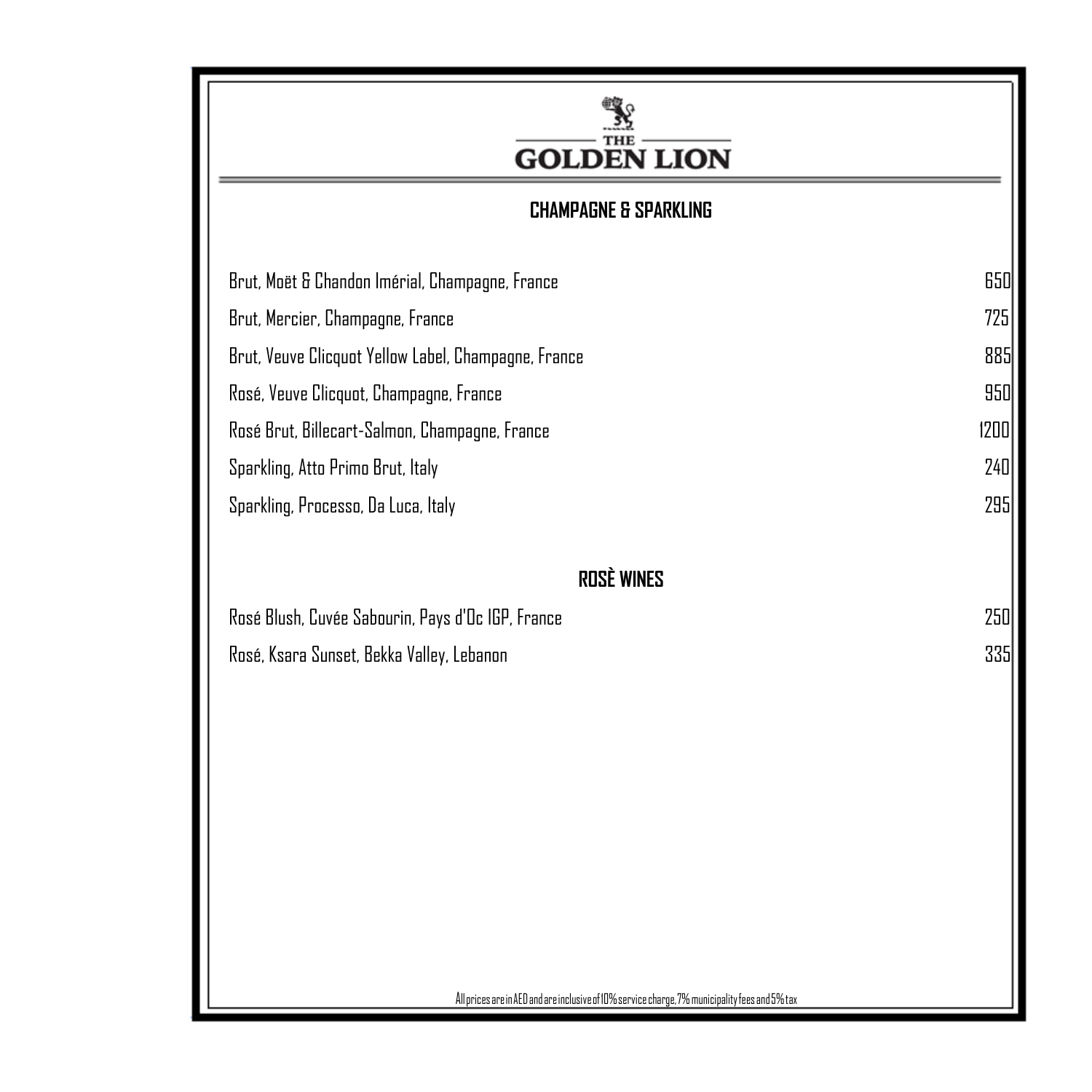## $\frac{\sum_{\text{true}}^{\text{true}}}{\text{GOLDEN LION}}$

### **CHAMPAGNE & SPARKLING**

| Brut, Moët & Chandon Imérial, Champagne, France      | 650  |
|------------------------------------------------------|------|
| Brut, Mercier, Champagne, France                     | 725  |
| Brut, Veuve Clicquot Yellow Label, Champagne, France | 885  |
| Rosé, Veuve Clicquot, Champagne, France              | 950  |
| Rosé Brut, Billecart-Salmon, Champagne, France       | 1200 |
| Sparkling, Atto Primo Brut, Italy                    | 240  |
| Sparkling, Processo, Da Luca, Italy                  | 295  |

### **ROSÈ WINES**

| Rosé Blush, Cuvée Sabourin, Pays d'Oc IGP, France | 250 |
|---------------------------------------------------|-----|
| Rosé, Ksara Sunset, Bekka Valley, Lebanon         | 335 |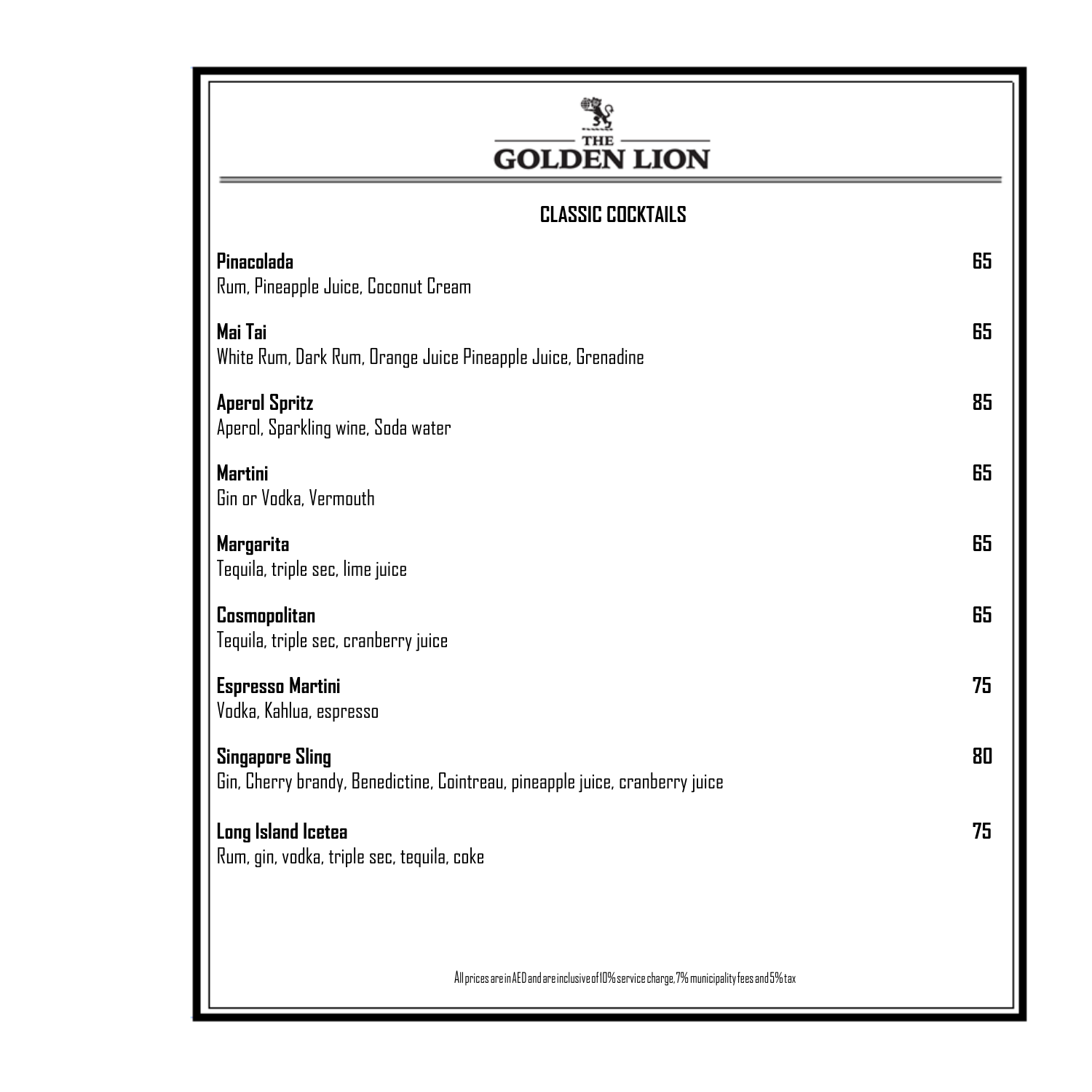### Y **GOLDEN LION CLASSIC COCKTAILS Pinacolada 65** Rum, Pineapple Juice, Coconut Cream **Mai Tai 65** White Rum, Dark Rum, Orange Juice Pineapple Juice, Grenadine **Aperol Spritz 85** Aperol, Sparkling wine, Soda water **Martini 65** Gin or Vodka, Vermouth **Margarita 65** Tequila, triple sec, lime juice **Cosmopolitan 65** Tequila, triple sec, cranberry juice **Espresso Martini 75** Vodka, Kahlua, espresso **Singapore Sling 80** Gin, Cherry brandy, Benedictine, Cointreau, pineapple juice, cranberry juice **Long Island Icetea 75** Rum, gin, vodka, triple sec, tequila, cokeAll prices are in AED and are inclusive of 10% service charge, 7% municipality fees and 5% tax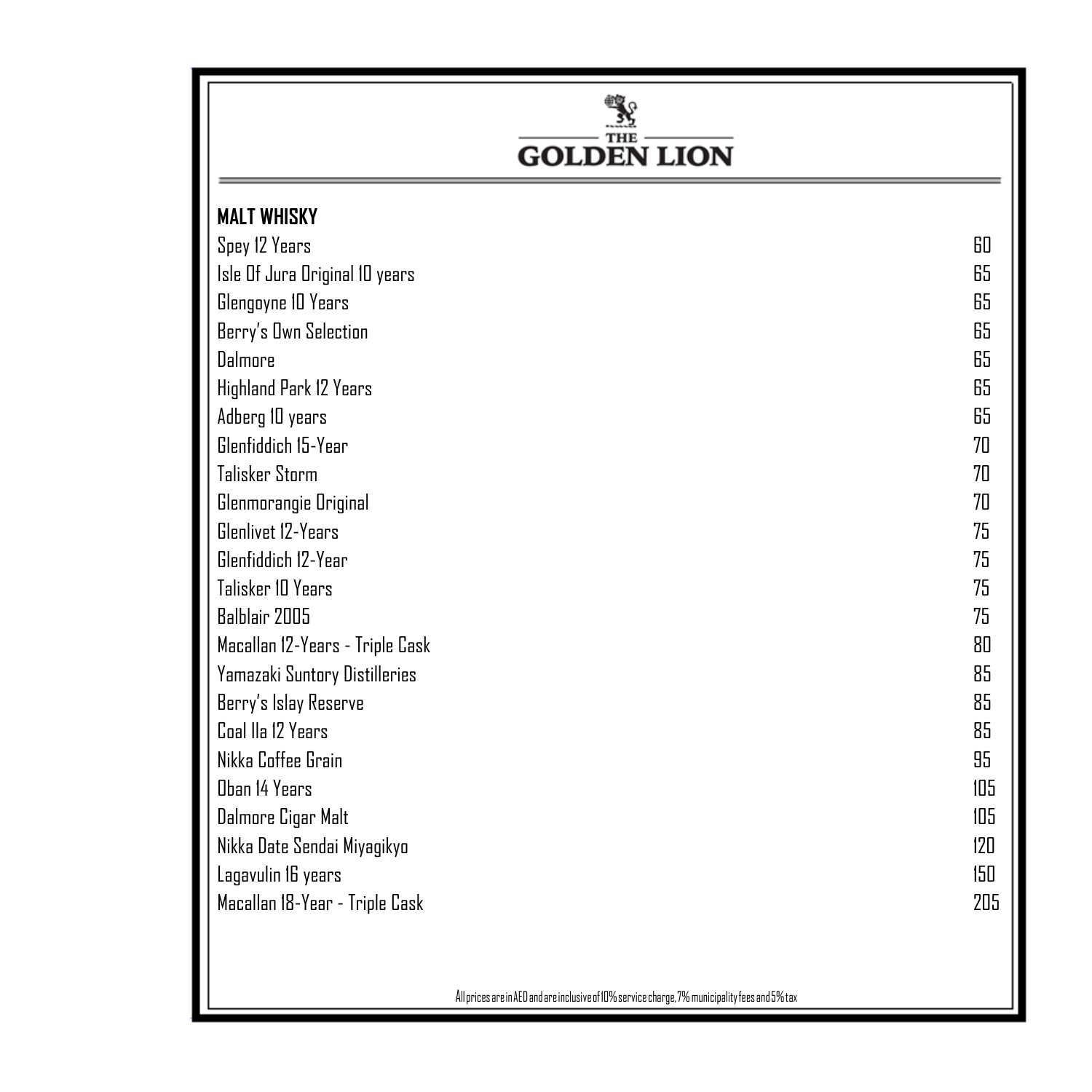

<sup>A</sup>llpricesareinAEDandareinclusiveof10%servicecharge,7%municipalityfeesand5%tax <sup>A</sup>llpricesareinAEDandareinclusiveof10%servicecharge,7%municipalityfeesand5%tax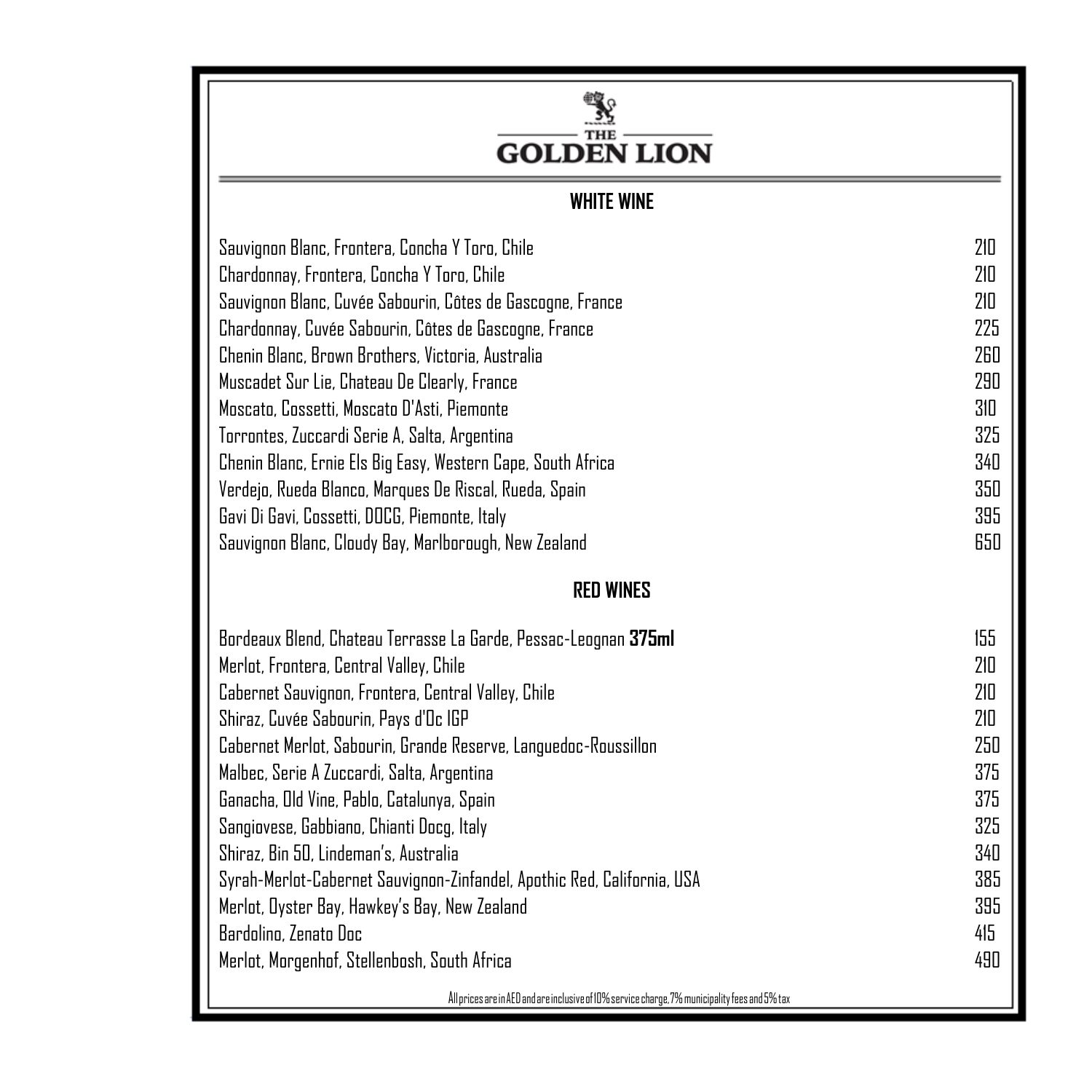## $\frac{\sum\limits_{\substack{\text{THE} \\ \text{THE}}} }{\text{GOLDEN LION}}$

### **WHITE WINE**

| Sauvignon Blanc, Frontera, Concha Y Toro, Chile                 | 210 |
|-----------------------------------------------------------------|-----|
| Chardonnay, Frontera, Concha Y Toro, Chile                      | 210 |
| Sauvignon Blanc, Cuvée Sabourin, Côtes de Gascogne, France      | 210 |
| Chardonnay, Cuvée Sabourin, Côtes de Gascogne, France           | 225 |
| Chenin Blanc, Brown Brothers, Victoria, Australia               | 260 |
| Muscadet Sur Lie, Chateau De Clearly, France                    | 290 |
| Moscato, Cossetti, Moscato D'Asti, Piemonte                     | 310 |
| Torrontes, Zuccardi Serie A, Salta, Argentina                   | 325 |
| Chenin Blanc, Ernie Els Big Easy, Western Cape, South Africa    | 340 |
| Verdejo, Rueda Blanco, Marques De Riscal, Rueda, Spain          | 350 |
| Gavi Di Gavi, Cossetti, DOCG, Piemonte, Italy                   | 395 |
| Sauvignon Blanc, Cloudy Bay, Marlborough, New Zealand           | 650 |
| <b>RED WINES</b>                                                |     |
| Bordeaux Blend, Chateau Terrasse La Garde, Pessac-Leognan 375ml | 155 |
| Merlot, Frontera, Central Valley, Chile                         | 210 |
| Cabernet Sauvignon, Frontera, Central Valley, Chile             | 210 |
| Shiraz, Cuvée Sabourin, Pays d'Oc IGP                           | 210 |
| Cabernet Merlot, Sabourin, Grande Reserve, Languedoc-Roussillon | 250 |
| Malbec, Serie A Zuccardi, Salta, Argentina                      | 375 |

Merlot, Morgenhof, Stellenbosh, South Africa 490

AllpricesareinAEDandareinclusiveof10%servicecharge,7%municipalityfeesand5%tax AllpricesareinAEDandareinclusiveof10%servicecharge,7%municipalityfeesand5%tax

Ganacha, Old Vine, Pablo, Catalunya, Spain 375 Sangiovese, Gabbiano, Chianti Docg, Italy 325 Shiraz, Bin 50, Lindeman's, Australia 340 Syrah-Merlot-Cabernet Sauvignon-Zinfandel, Apothic Red, California, USA 385 Merlot, Oyster Bay, Hawkey's Bay, New Zealand 395 Bardolino, Zenato Doc 415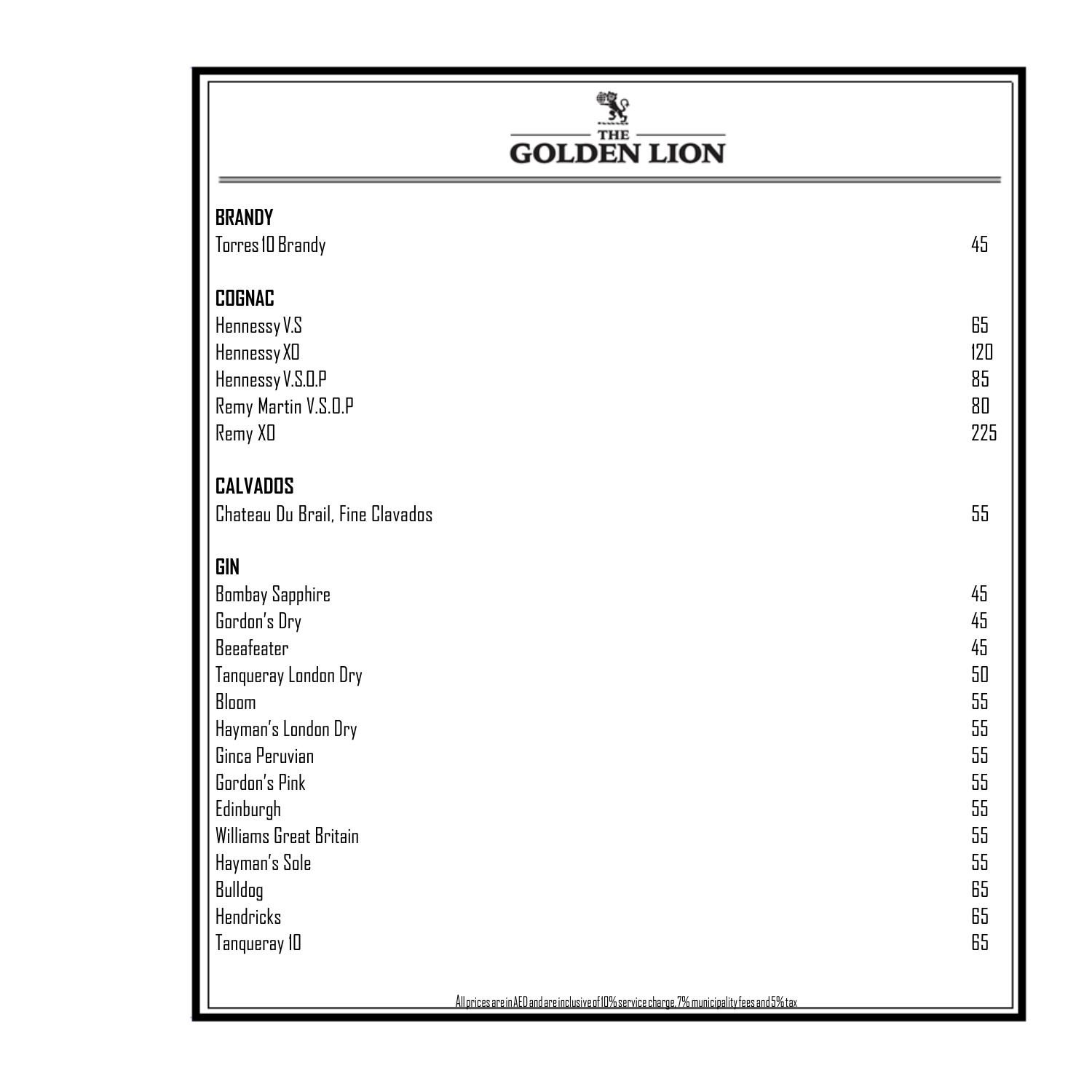## $\frac{\sum_{\text{true}}^{\text{max}}}{\text{GOLDEN LION}}$

| <b>BRANDY</b><br>Torres ID Brandy | 45  |
|-----------------------------------|-----|
| <b>COGNAC</b>                     |     |
| Hennessy V.S                      | 65  |
| Hennessy XD                       | 120 |
| Hennessy V.S.O.P                  | 85  |
| Remy Martin V.S.O.P               | 80  |
| Remy XD                           | 225 |
|                                   |     |
| <b>CALVADOS</b>                   |     |
| Chateau Du Brail, Fine Clavados   | 55  |
|                                   |     |
| <b>GIN</b>                        |     |
| <b>Bombay Sapphire</b>            | 45  |
| Gordon's Dry                      | 45  |
| <b>Beeafeater</b>                 | 45  |
| Tanqueray London Dry              | 50  |
| Bloom                             | 55  |
| Hayman's London Dry               | 55  |
| Ginca Peruvian                    | 55  |
| Gordon's Pink                     | 55  |
| Edinburgh                         | 55  |
| Williams Great Britain            | 55  |
| Hayman's Sole                     | 55  |
| Bulldog                           | 65  |
| <b>Hendricks</b>                  | 65  |
| Tanqueray 10                      | 65  |
|                                   |     |

AllpricesareinAEDandareinclusiveof10%servicecharge,7%municipalityfeesand5%tax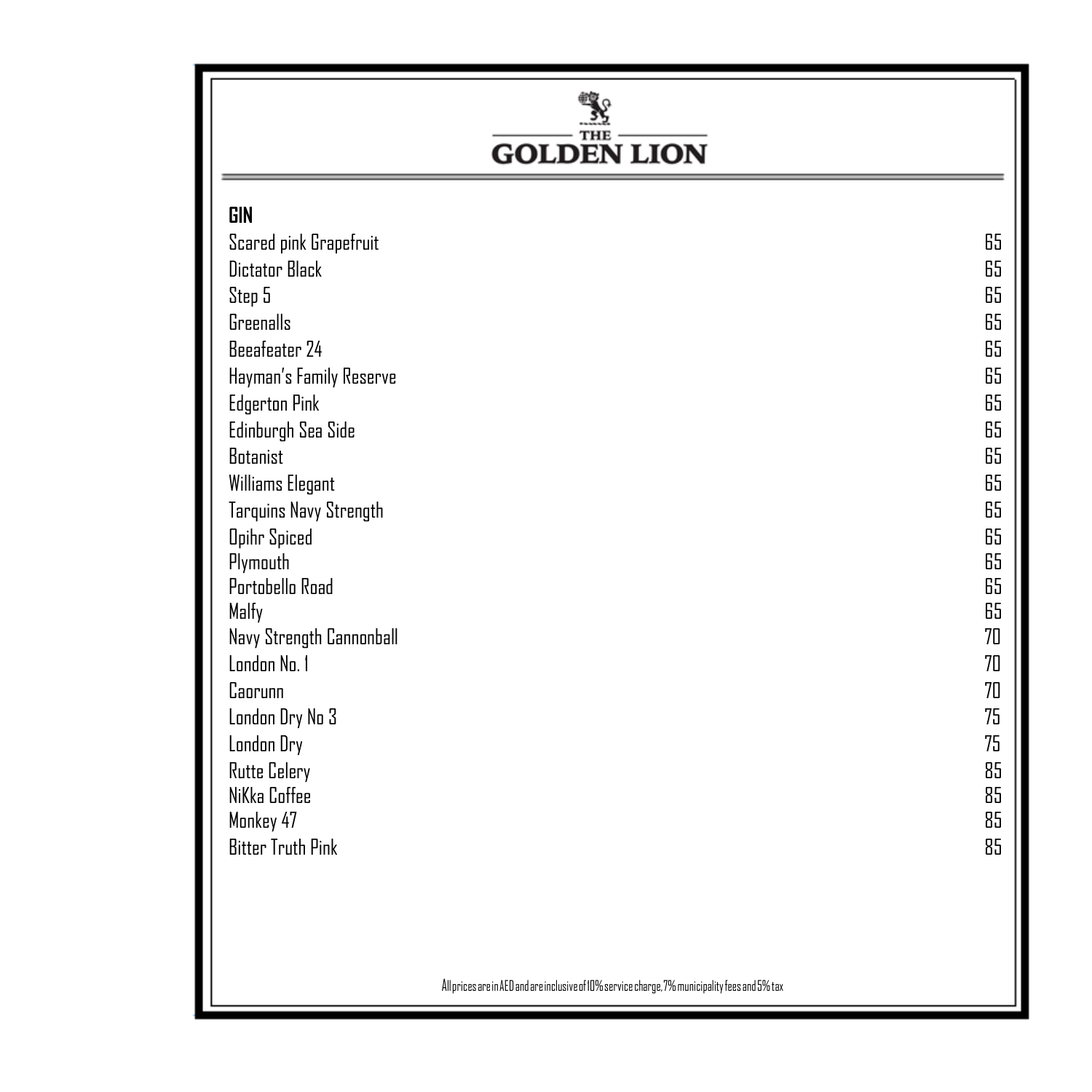## $\frac{\sum_{\text{true}}^{\text{true}}}{\text{GOLDEN LION}}$

| <b>GIN</b>               |    |
|--------------------------|----|
| Scared pink Grapefruit   | 65 |
| Dictator Black           | 65 |
| Step 5                   | 65 |
| Greenalls                | 65 |
| Beeafeater 24            | 65 |
| Hayman's Family Reserve  | 65 |
| <b>Edgerton Pink</b>     | 65 |
| Edinburgh Sea Side       | 65 |
| <b>Botanist</b>          | 65 |
| Williams Elegant         | 65 |
| Tarquins Navy Strength   | 65 |
| <b>Opihr Spiced</b>      | 65 |
| Plymouth                 | 65 |
| Portobello Road          | 65 |
| Malfy                    | 65 |
| Navy Strength Cannonball | 70 |
| London No. 1             | 70 |
| Caorunn                  | 70 |
| London Dry No 3          | 75 |
| London Dry               | 75 |
| <b>Rutte Celery</b>      | 85 |
| NiKka Coffee             | 85 |
| Monkey 47                | 85 |
| <b>Bitter Truth Pink</b> | 85 |
|                          |    |

AllpricesareinAEDandareinclusiveof10%servicecharge,7%municipalityfeesand5%tax AllpricesareinAEDandareinclusiveof10%servicecharge,7%municipalityfeesand5%tax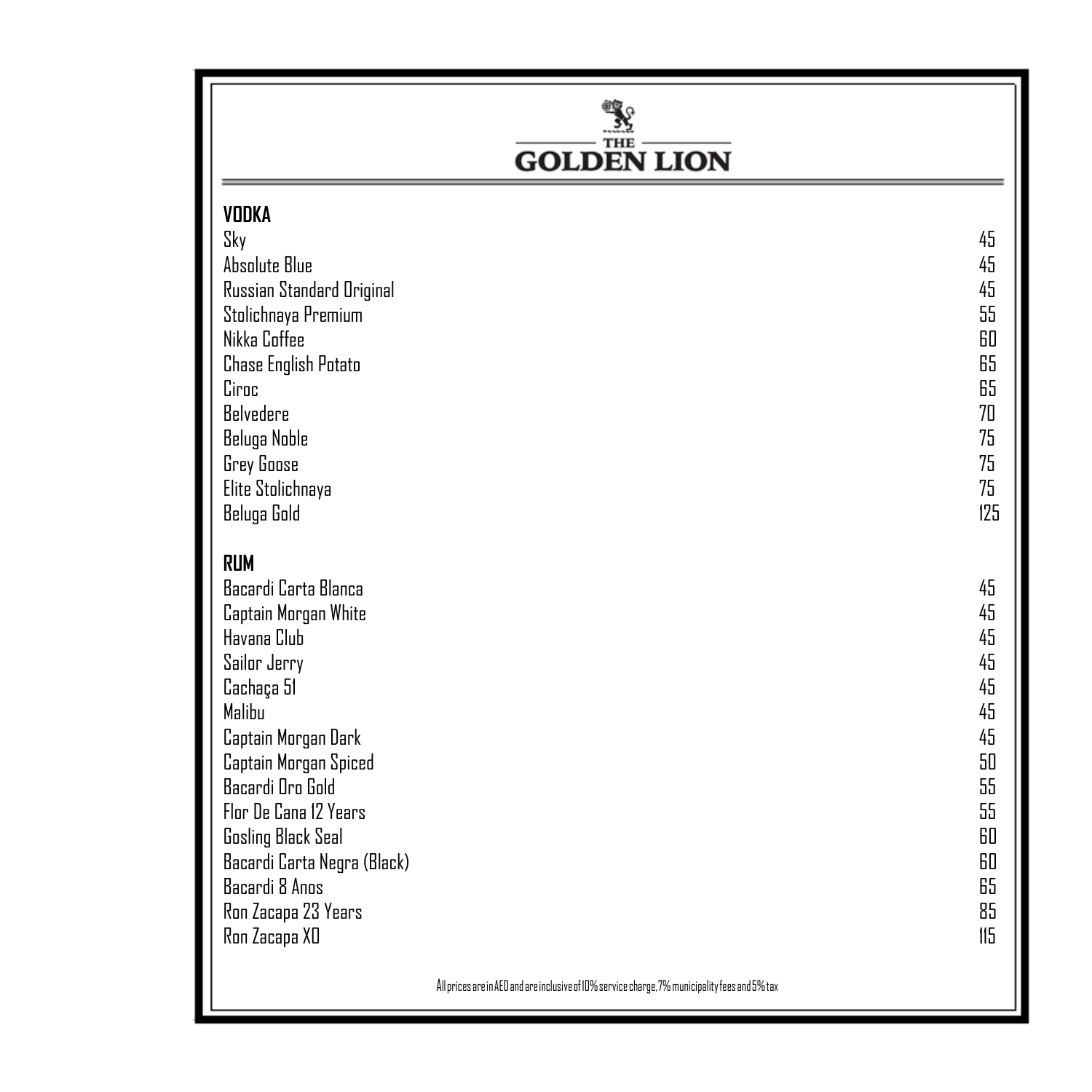# $\frac{\sum_{\text{THE}}^{\text{THE}}}{\text{GOLDEN LION}}$

| <b>VODKA</b><br>Sky<br><b>Absolute Blue</b><br>Russian Standard Original<br>Stolichnaya Premium<br>Nikka Coffee<br><b>Chase English Potato</b><br>Ciroc<br>Belvedere<br>Beluga Noble<br>Grey Goose<br>Elite Stolichnaya<br>Beluga Gold                                                                                        | 45<br>45<br>45<br>55<br>60<br>65<br>65<br>70<br>75<br>75<br>75<br>125                   |
|-------------------------------------------------------------------------------------------------------------------------------------------------------------------------------------------------------------------------------------------------------------------------------------------------------------------------------|-----------------------------------------------------------------------------------------|
| <b>RUM</b><br>Bacardi Carta Blanca<br>Captain Morgan White<br>Havana Club<br>Sailor Jerry<br>Cachaça 51<br>Malibu<br>Captain Morgan Dark<br>Captain Morgan Spiced<br>Bacardi Dro Gold<br>Flor De Cana 12 Years<br>Gosling Black Seal<br>Bacardi Carta Negra (Black)<br>Bacardi 8 Anos<br>Ron Zacapa 23 Years<br>Ron Zacapa XD | 45<br>45<br>45<br>45<br>45<br>45<br>45<br>50<br>55<br>55<br>60<br>60<br>65<br>85<br>115 |

AllpricesareinAEDandareinclusiveof10%servicecharge,7%municipalityfeesand5%tax AllpricesareinAEDandareinclusiveof10%servicecharge,7%municipalityfeesand5%tax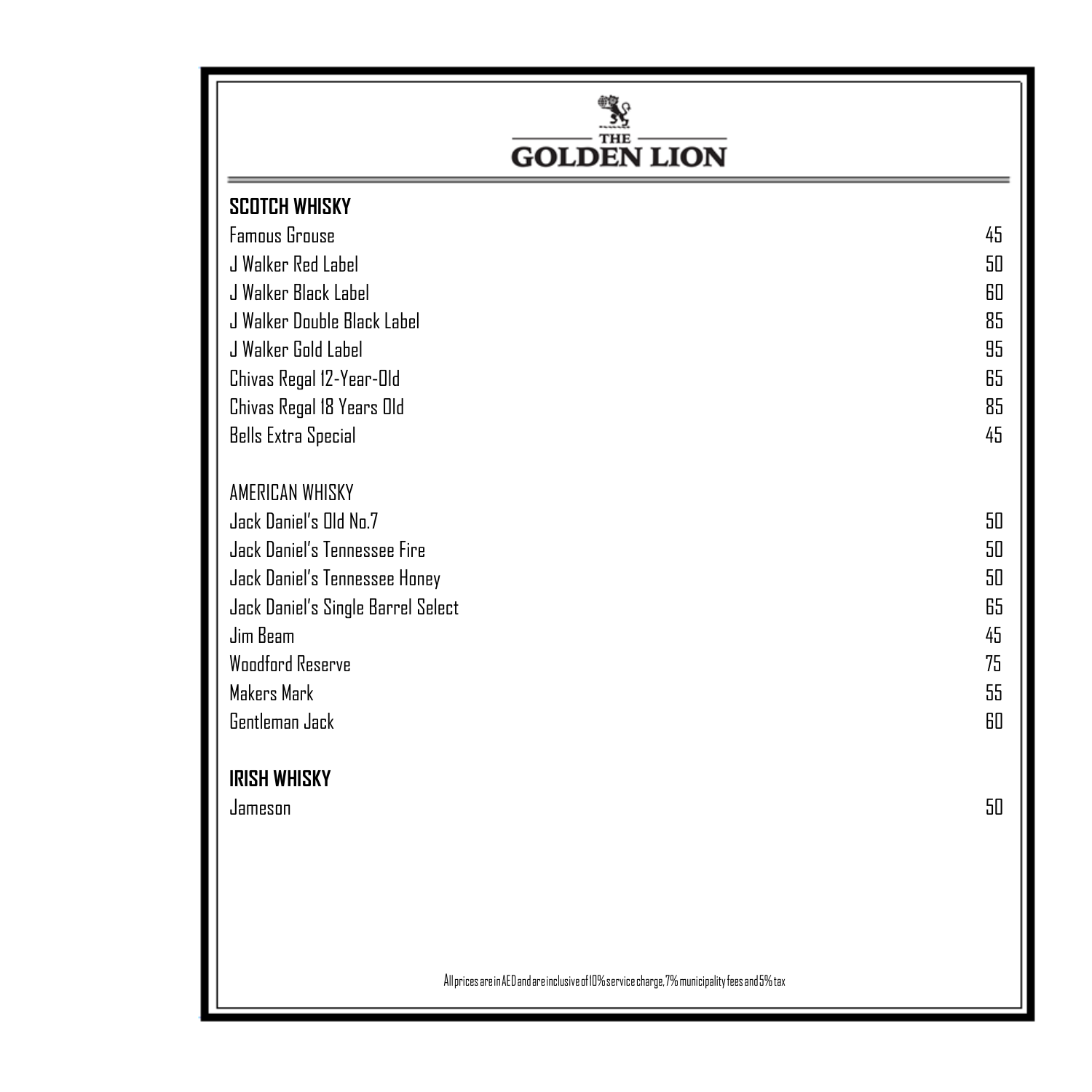| <b>GOLDEN LION</b>                                                                                                                                                                                                                                     |                                              |
|--------------------------------------------------------------------------------------------------------------------------------------------------------------------------------------------------------------------------------------------------------|----------------------------------------------|
| <b>SCOTCH WHISKY</b>                                                                                                                                                                                                                                   |                                              |
| <b>Famous Grouse</b>                                                                                                                                                                                                                                   | 45                                           |
| J Walker Red Label                                                                                                                                                                                                                                     | 50                                           |
| J Walker Black Label                                                                                                                                                                                                                                   | 60                                           |
| J Walker Double Black Label                                                                                                                                                                                                                            | 85                                           |
| J Walker Gold Label                                                                                                                                                                                                                                    | 95                                           |
| Chivas Regal 12-Year-Old                                                                                                                                                                                                                               | 65                                           |
| Chivas Regal 18 Years Old                                                                                                                                                                                                                              | 85                                           |
| <b>Bells Extra Special</b>                                                                                                                                                                                                                             | 45                                           |
| <b>AMERICAN WHISKY</b><br>Jack Daniel's Old No.7<br>Jack Daniel's Tennessee Fire<br>Jack Daniel's Tennessee Honey<br>Jack Daniel's Single Barrel Select<br>Jim Beam<br><b>Woodford Reserve</b><br>Makers Mark<br>Gentleman Jack<br><b>IRISH WHISKY</b> | 50<br>50<br>50<br>65<br>45<br>75<br>55<br>60 |
| Jameson                                                                                                                                                                                                                                                | 50                                           |
|                                                                                                                                                                                                                                                        |                                              |

All prices are in AED and are inclusive of 10% service charge, 7% municipality fees and 5% tax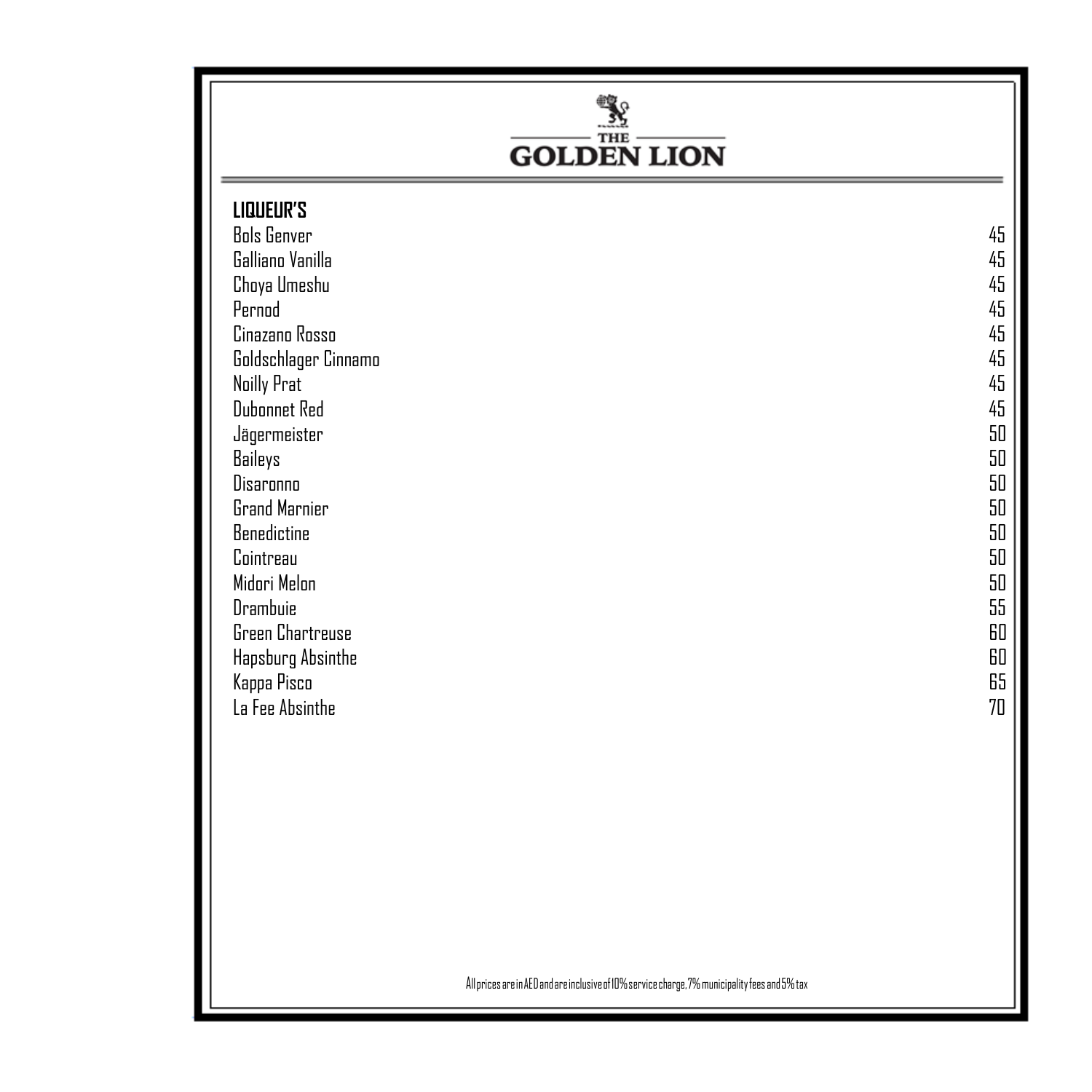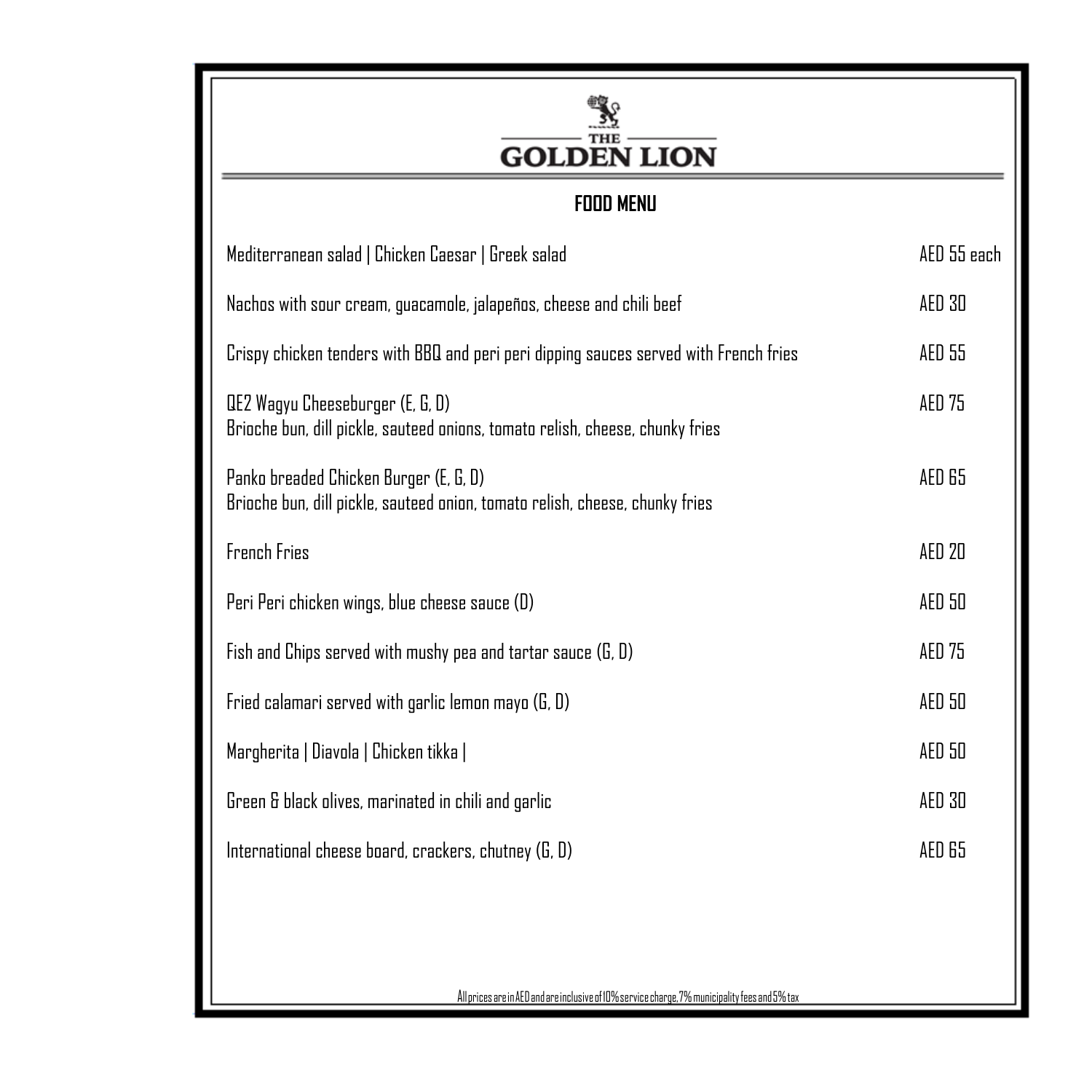| <b>GOLDEN LION</b>                                                                                                     |               |
|------------------------------------------------------------------------------------------------------------------------|---------------|
| <b>FOOD MENU</b>                                                                                                       |               |
| Mediterranean salad   Chicken Caesar   Greek salad                                                                     | AED 55 each   |
| Nachos with sour cream, guacamole, jalapeños, cheese and chili beef                                                    | AED 30        |
| Crispy chicken tenders with BBQ and peri peri dipping sauces served with French fries                                  | AED 55        |
| QE2 Wagyu Cheeseburger (E, G, D)<br>Brioche bun, dill pickle, sauteed onions, tomato relish, cheese, chunky fries      | <b>AED 75</b> |
| Panko breaded Chicken Burger (E, G, D)<br>Brioche bun, dill pickle, sauteed onion, tomato relish, cheese, chunky fries | AED 65        |
| French Fries                                                                                                           | <b>AED 20</b> |
| Peri Peri chicken wings, blue cheese sauce (D)                                                                         | AED 50        |
| Fish and Chips served with mushy pea and tartar sauce (G, D)                                                           | <b>AED 75</b> |
| Fried calamari served with garlic lemon mayo (G, D)                                                                    | AED 50        |
| Margherita   Diavola   Chicken tikka                                                                                   | AED 50        |
| Green & black olives, marinated in chili and garlic                                                                    | AED 30        |
| International cheese board, crackers, chutney (G, D)                                                                   | AED 65        |

AllpricesareinAEDandareinclusiveof10%servicecharge,7%municipalityfeesand5%tax AllpricesareinAEDandareinclusiveof10%servicecharge,7%municipalityfeesand5%tax